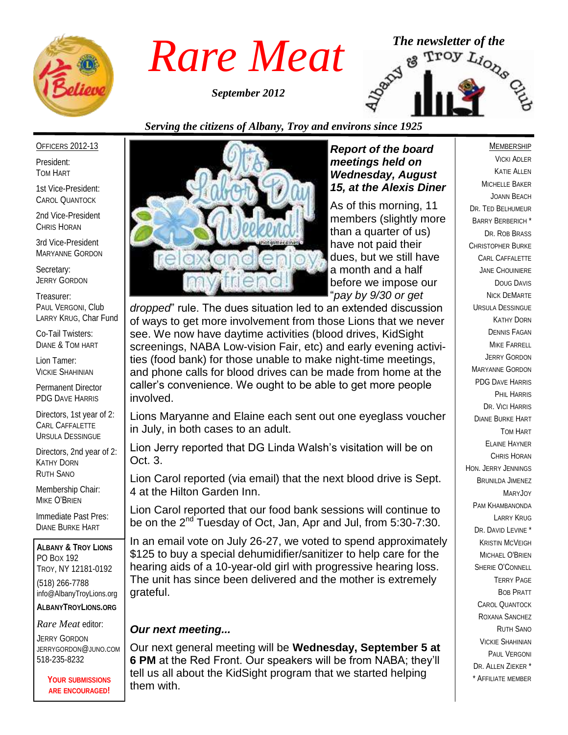

*September 2012*



### *Serving the citizens of Albany, Troy and environs since 1925*

#### OFFICERS 2012-13

President: TOM HART

1st Vice-President: CAROL QUANTOCK

2nd Vice-President CHRIS HORAN

3rd Vice-President MARYANNE GORDON

Secretary: JERRY GORDON

Treasurer: PAUL VERGONI, Club LARRY KRUG, Char Fund

Co-Tail Twisters: DIANE & TOM HART

Lion Tamer: VICKIE SHAHINIAN

Permanent Director PDG DAVE HARRIS

Directors, 1st year of 2: CARL CAFFALETTE URSULA DESSINGUE

Directors, 2nd year of 2: KATHY DORN RUTH SANO

Membership Chair: MIKE O'BRIEN

Immediate Past Pres: DIANE BURKE HART

**ALBANY & TROY LIONS** PO BOX 192 TROY, NY 12181-0192 (518) 266-7788 info@AlbanyTroyLions.org **ALBANYTROYLIONS.ORG**

*Rare Meat* editor:

JERRY GORDON JERRYGORDON@JUNO.COM 518-235-8232

> **YOUR SUBMISSIONS ARE ENCOURAGED!**



#### *Report of the board meetings held on Wednesday, August 15, at the Alexis Diner*

As of this morning, 11 members (slightly more than a quarter of us) have not paid their dues, but we still have a month and a half before we impose our "*pay by 9/30 or get* 

*dropped*" rule. The dues situation led to an extended discussion of ways to get more involvement from those Lions that we never see. We now have daytime activities (blood drives, KidSight screenings, NABA Low-vision Fair, etc) and early evening activities (food bank) for those unable to make night-time meetings, and phone calls for blood drives can be made from home at the caller's convenience. We ought to be able to get more people involved.

Lions Maryanne and Elaine each sent out one eyeglass voucher in July, in both cases to an adult.

Lion Jerry reported that DG Linda Walsh's visitation will be on Oct. 3.

Lion Carol reported (via email) that the next blood drive is Sept. 4 at the Hilton Garden Inn.

Lion Carol reported that our food bank sessions will continue to be on the 2<sup>nd</sup> Tuesday of Oct, Jan, Apr and Jul, from 5:30-7:30.

In an email vote on July 26-27, we voted to spend approximately \$125 to buy a special dehumidifier/sanitizer to help care for the hearing aids of a 10-year-old girl with progressive hearing loss. The unit has since been delivered and the mother is extremely grateful.

#### *Our next meeting...*

Our next general meeting will be **Wednesday, September 5 at 6 PM** at the Red Front. Our speakers will be from NABA; they'll tell us all about the KidSight program that we started helping them with.

#### MEMBERSHIP

VICKI ADLER KATIE ALLEN MICHELLE BAKER JOANN BEACH DR. TED BELHUMEUR BARRY BERBERICH \* DR. ROB BRASS CHRISTOPHER BURKE CARL CAFFALETTE JANE CHOUINIERE DOUG DAVIS NICK DEMARTE URSULA DESSINGUE KATHY DORN DENNIS FAGAN MIKE FARRELL JERRY GORDON MARYANNE GORDON PDG DAVE HARRIS PHIL HARRIS DR. VICI HARRIS DIANE BURKE HART TOM HART ELAINE HAYNER CHRIS HORAN HON. JERRY JENNINGS BRUNILDA JIMENEZ Mary **J**oy PAM KHAMBANONDA LARRY KRUG DR. DAVID LEVINE<sup>\*</sup> KRISTIN MCVEIGH MICHAEL O'BRIEN SHERIE O'CONNELL TERRY PAGE BOB PRATT CAROL QUANTOCK ROXANA SANCHEZ RUTH SANO VICKIE SHAHINIAN PAUL VERGONI DR. ALLEN 7IFKER<sup>\*</sup> \* AFFILIATE MEMBER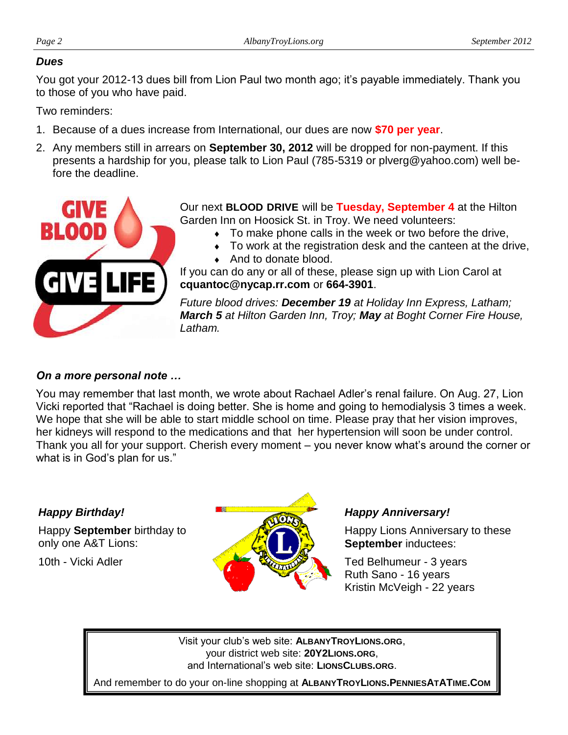#### *Dues*

You got your 2012-13 dues bill from Lion Paul two month ago; it's payable immediately. Thank you to those of you who have paid.

Two reminders:

- 1. Because of a dues increase from International, our dues are now **\$70 per year**.
- 2. Any members still in arrears on **September 30, 2012** will be dropped for non-payment. If this presents a hardship for you, please talk to Lion Paul (785-5319 or plverg@yahoo.com) well before the deadline.



Our next **BLOOD DRIVE** will be **Tuesday, September 4** at the Hilton Garden Inn on Hoosick St. in Troy. We need volunteers:

- To make phone calls in the week or two before the drive,
- To work at the registration desk and the canteen at the drive,
- ◆ And to donate blood.

If you can do any or all of these, please sign up with Lion Carol at **cquantoc@nycap.rr.com** or **664-3901**.

*Future blood drives: December 19 at Holiday Inn Express, Latham; March 5 at Hilton Garden Inn, Troy; May at Boght Corner Fire House, Latham.* 

#### *On a more personal note …*

You may remember that last month, we wrote about Rachael Adler's renal failure. On Aug. 27, Lion Vicki reported that "Rachael is doing better. She is home and going to hemodialysis 3 times a week. We hope that she will be able to start middle school on time. Please pray that her vision improves, her kidneys will respond to the medications and that her hypertension will soon be under control. Thank you all for your support. Cherish every moment – you never know what's around the corner or what is in God's plan for us."

#### *Happy Birthday!*

Happy **September** birthday to only one A&T Lions:

10th - Vicki Adler



#### *Happy Anniversary!*

Happy Lions Anniversary to these **September** inductees:

Ted Belhumeur - 3 years Ruth Sano - 16 years Kristin McVeigh - 22 years

Visit your club's web site: **ALBANYTROYLIONS.ORG**, your district web site: **20Y2LIONS.ORG**, and International's web site: **LIONSCLUBS.ORG**.

And remember to do your on-line shopping at **ALBANYTROYLIONS.PENNIESATATIME.COM**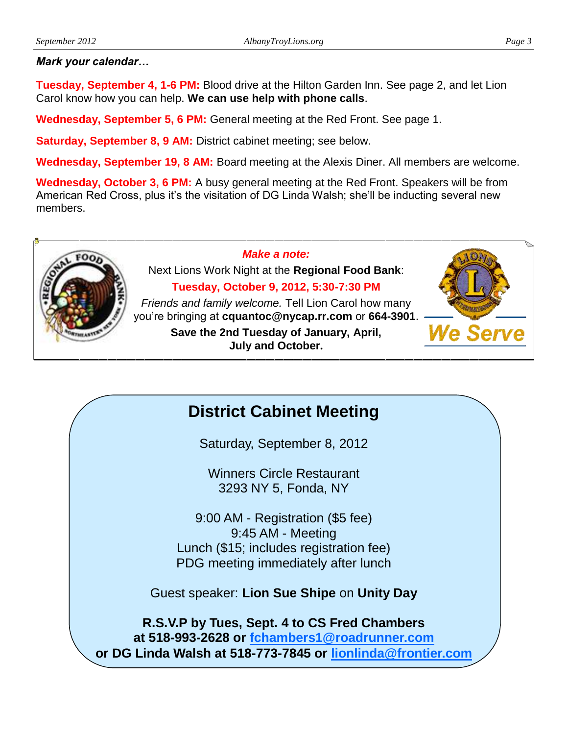#### *Mark your calendar…*

**Tuesday, September 4, 1-6 PM:** Blood drive at the Hilton Garden Inn. See page 2, and let Lion Carol know how you can help. **We can use help with phone calls**.

**Wednesday, September 5, 6 PM:** General meeting at the Red Front. See page 1.

**Saturday, September 8, 9 AM:** District cabinet meeting; see below.

**Wednesday, September 19, 8 AM:** Board meeting at the Alexis Diner. All members are welcome.

**Wednesday, October 3, 6 PM:** A busy general meeting at the Red Front. Speakers will be from American Red Cross, plus it's the visitation of DG Linda Walsh; she'll be inducting several new members.



*Make a note:*

Next Lions Work Night at the **Regional Food Bank**:

**Tuesday, October 9, 2012, 5:30-7:30 PM**

*Friends and family welcome.* Tell Lion Carol how many you're bringing at **cquantoc@nycap.rr.com** or **664-3901**.

> **Save the 2nd Tuesday of January, April, July and October.**



# **District Cabinet Meeting**

Saturday, September 8, 2012

Winners Circle Restaurant 3293 NY 5, Fonda, NY

9:00 AM - Registration (\$5 fee) 9:45 AM - Meeting Lunch (\$15; includes registration fee) PDG meeting immediately after lunch

Guest speaker: **Lion Sue Shipe** on **Unity Day**

**R.S.V.P by Tues, Sept. 4 to CS Fred Chambers at 518-993-2628 or [fchambers1@roadrunner.com](mailto:fchambers1@roadrunner.com) or DG Linda Walsh at 518-773-7845 or [lionlinda@frontier.com](mailto:lionlinda@frontier.com)**